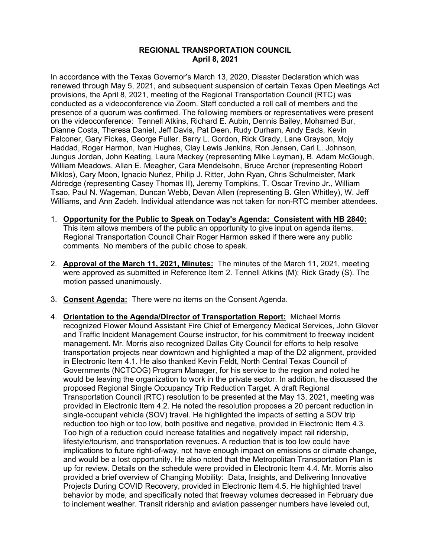## **REGIONAL TRANSPORTATION COUNCIL April 8, 2021**

In accordance with the Texas Governor's March 13, 2020, Disaster Declaration which was renewed through May 5, 2021, and subsequent suspension of certain Texas Open Meetings Act provisions, the April 8, 2021, meeting of the Regional Transportation Council (RTC) was conducted as a videoconference via Zoom. Staff conducted a roll call of members and the presence of a quorum was confirmed. The following members or representatives were present on the videoconference: Tennell Atkins, Richard E. Aubin, Dennis Bailey, Mohamed Bur, Dianne Costa, Theresa Daniel, Jeff Davis, Pat Deen, Rudy Durham, Andy Eads, Kevin Falconer, Gary Fickes, George Fuller, Barry L. Gordon, Rick Grady, Lane Grayson, Mojy Haddad, Roger Harmon, Ivan Hughes, Clay Lewis Jenkins, Ron Jensen, Carl L. Johnson, Jungus Jordan, John Keating, Laura Mackey (representing Mike Leyman), B. Adam McGough, William Meadows, Allan E. Meagher, Cara Mendelsohn, Bruce Archer (representing Robert Miklos), Cary Moon, Ignacio Nuñez, Philip J. Ritter, John Ryan, Chris Schulmeister, Mark Aldredge (representing Casey Thomas II), Jeremy Tompkins, T. Oscar Trevino Jr., William Tsao, Paul N. Wageman, Duncan Webb, Devan Allen (representing B. Glen Whitley), W. Jeff Williams, and Ann Zadeh. Individual attendance was not taken for non-RTC member attendees.

- 1. **Opportunity for the Public to Speak on Today's Agenda: Consistent with HB 2840:** This item allows members of the public an opportunity to give input on agenda items. Regional Transportation Council Chair Roger Harmon asked if there were any public comments. No members of the public chose to speak.
- 2. **Approval of the March 11, 2021, Minutes:** The minutes of the March 11, 2021, meeting were approved as submitted in Reference Item 2. Tennell Atkins (M); Rick Grady (S). The motion passed unanimously.
- 3. **Consent Agenda:** There were no items on the Consent Agenda.
- 4. **Orientation to the Agenda/Director of Transportation Report:** Michael Morris recognized Flower Mound Assistant Fire Chief of Emergency Medical Services, John Glover and Traffic Incident Management Course instructor, for his commitment to freeway incident management. Mr. Morris also recognized Dallas City Council for efforts to help resolve transportation projects near downtown and highlighted a map of the D2 alignment, provided in Electronic Item 4.1. He also thanked Kevin Feldt, North Central Texas Council of Governments (NCTCOG) Program Manager, for his service to the region and noted he would be leaving the organization to work in the private sector. In addition, he discussed the proposed Regional Single Occupancy Trip Reduction Target. A draft Regional Transportation Council (RTC) resolution to be presented at the May 13, 2021, meeting was provided in Electronic Item 4.2. He noted the resolution proposes a 20 percent reduction in single-occupant vehicle (SOV) travel. He highlighted the impacts of setting a SOV trip reduction too high or too low, both positive and negative, provided in Electronic Item 4.3. Too high of a reduction could increase fatalities and negatively impact rail ridership, lifestyle/tourism, and transportation revenues. A reduction that is too low could have implications to future right-of-way, not have enough impact on emissions or climate change, and would be a lost opportunity. He also noted that the Metropolitan Transportation Plan is up for review. Details on the schedule were provided in Electronic Item 4.4. Mr. Morris also provided a brief overview of Changing Mobility: Data, Insights, and Delivering Innovative Projects During COVID Recovery, provided in Electronic Item 4.5. He highlighted travel behavior by mode, and specifically noted that freeway volumes decreased in February due to inclement weather. Transit ridership and aviation passenger numbers have leveled out,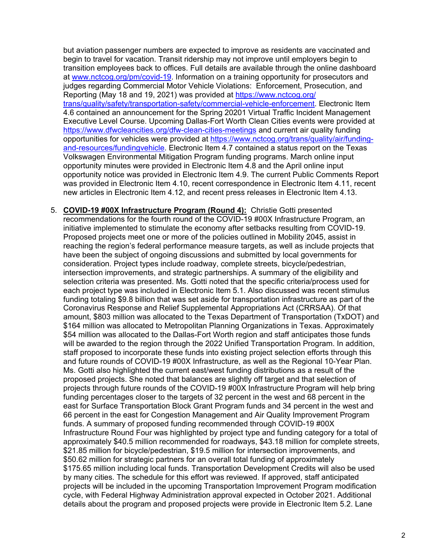but aviation passenger numbers are expected to improve as residents are vaccinated and begin to travel for vacation. Transit ridership may not improve until employers begin to transition employees back to offices. Full details are available through the online dashboard at [www.nctcog.org/pm/covid-19.](http://www.nctcog.org/pm/covid-19) Information on a training opportunity for prosecutors and judges regarding Commercial Motor Vehicle Violations: Enforcement, Prosecution, and Reporting (May 18 and 19, 2021) was provided at [https://www.nctcog.org/](https://www.nctcog.org/trans/quality/safety/transportation-safety/commercial-vehicle-enforcement) [trans/quality/safety/transportation-safety/commercial-vehicle-enforcement.](https://www.nctcog.org/trans/quality/safety/transportation-safety/commercial-vehicle-enforcement) Electronic Item 4.6 contained an announcement for the Spring 20201 Virtual Traffic Incident Management Executive Level Course. Upcoming Dallas-Fort Worth Clean Cities events were provided at <https://www.dfwcleancities.org/dfw-clean-cities-meetings> and current air quality funding opportunities for vehicles were provided at [https://www.nctcog.org/trans/quality/air/funding](https://www.nctcog.org/trans/quality/air/funding-and-resources/fundingvehicle)[and-resources/fundingvehicle.](https://www.nctcog.org/trans/quality/air/funding-and-resources/fundingvehicle) Electronic Item 4.7 contained a status report on the Texas Volkswagen Environmental Mitigation Program funding programs. March online input opportunity minutes were provided in Electronic Item 4.8 and the April online input opportunity notice was provided in Electronic Item 4.9. The current Public Comments Report was provided in Electronic Item 4.10, recent correspondence in Electronic Item 4.11, recent new articles in Electronic Item 4.12, and recent press releases in Electronic Item 4.13.

5. **COVID-19 #00X Infrastructure Program (Round 4):** Christie Gotti presented recommendations for the fourth round of the COVID-19 #00X Infrastructure Program, an initiative implemented to stimulate the economy after setbacks resulting from COVID-19. Proposed projects meet one or more of the policies outlined in Mobility 2045, assist in reaching the region's federal performance measure targets, as well as include projects that have been the subject of ongoing discussions and submitted by local governments for consideration. Project types include roadway, complete streets, bicycle/pedestrian, intersection improvements, and strategic partnerships. A summary of the eligibility and selection criteria was presented. Ms. Gotti noted that the specific criteria/process used for each project type was included in Electronic Item 5.1. Also discussed was recent stimulus funding totaling \$9.8 billion that was set aside for transportation infrastructure as part of the Coronavirus Response and Relief Supplemental Appropriations Act (CRRSAA). Of that amount, \$803 million was allocated to the Texas Department of Transportation (TxDOT) and \$164 million was allocated to Metropolitan Planning Organizations in Texas. Approximately \$54 million was allocated to the Dallas-Fort Worth region and staff anticipates those funds will be awarded to the region through the 2022 Unified Transportation Program. In addition, staff proposed to incorporate these funds into existing project selection efforts through this and future rounds of COVID-19 #00X Infrastructure, as well as the Regional 10-Year Plan. Ms. Gotti also highlighted the current east/west funding distributions as a result of the proposed projects. She noted that balances are slightly off target and that selection of projects through future rounds of the COVID-19 #00X Infrastructure Program will help bring funding percentages closer to the targets of 32 percent in the west and 68 percent in the east for Surface Transportation Block Grant Program funds and 34 percent in the west and 66 percent in the east for Congestion Management and Air Quality Improvement Program funds. A summary of proposed funding recommended through COVID-19 #00X Infrastructure Round Four was highlighted by project type and funding category for a total of approximately \$40.5 million recommended for roadways, \$43.18 million for complete streets, \$21.85 million for bicycle/pedestrian, \$19.5 million for intersection improvements, and \$50.62 million for strategic partners for an overall total funding of approximately \$175.65 million including local funds. Transportation Development Credits will also be used by many cities. The schedule for this effort was reviewed. If approved, staff anticipated projects will be included in the upcoming Transportation Improvement Program modification cycle, with Federal Highway Administration approval expected in October 2021. Additional details about the program and proposed projects were provide in Electronic Item 5.2. Lane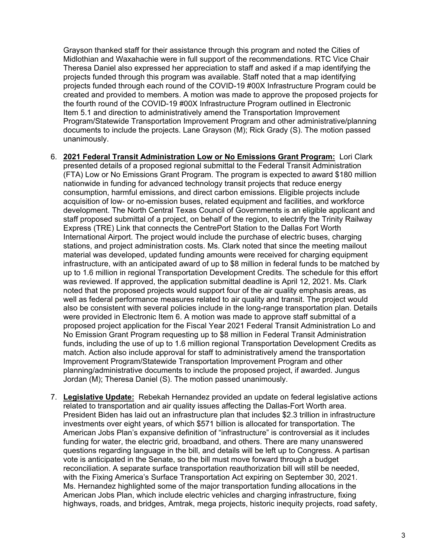Grayson thanked staff for their assistance through this program and noted the Cities of Midlothian and Waxahachie were in full support of the recommendations. RTC Vice Chair Theresa Daniel also expressed her appreciation to staff and asked if a map identifying the projects funded through this program was available. Staff noted that a map identifying projects funded through each round of the COVID-19 #00X Infrastructure Program could be created and provided to members. A motion was made to approve the proposed projects for the fourth round of the COVID-19 #00X Infrastructure Program outlined in Electronic Item 5.1 and direction to administratively amend the Transportation Improvement Program/Statewide Transportation Improvement Program and other administrative/planning documents to include the projects. Lane Grayson (M); Rick Grady (S). The motion passed unanimously.

- 6. **2021 Federal Transit Administration Low or No Emissions Grant Program:** Lori Clark presented details of a proposed regional submittal to the Federal Transit Administration (FTA) Low or No Emissions Grant Program. The program is expected to award \$180 million nationwide in funding for advanced technology transit projects that reduce energy consumption, harmful emissions, and direct carbon emissions. Eligible projects include acquisition of low- or no-emission buses, related equipment and facilities, and workforce development. The North Central Texas Council of Governments is an eligible applicant and staff proposed submittal of a project, on behalf of the region, to electrify the Trinity Railway Express (TRE) Link that connects the CentrePort Station to the Dallas Fort Worth International Airport. The project would include the purchase of electric buses, charging stations, and project administration costs. Ms. Clark noted that since the meeting mailout material was developed, updated funding amounts were received for charging equipment infrastructure, with an anticipated award of up to \$8 million in federal funds to be matched by up to 1.6 million in regional Transportation Development Credits. The schedule for this effort was reviewed. If approved, the application submittal deadline is April 12, 2021. Ms. Clark noted that the proposed projects would support four of the air quality emphasis areas, as well as federal performance measures related to air quality and transit. The project would also be consistent with several policies include in the long-range transportation plan. Details were provided in Electronic Item 6. A motion was made to approve staff submittal of a proposed project application for the Fiscal Year 2021 Federal Transit Administration Lo and No Emission Grant Program requesting up to \$8 million in Federal Transit Administration funds, including the use of up to 1.6 million regional Transportation Development Credits as match. Action also include approval for staff to administratively amend the transportation Improvement Program/Statewide Transportation Improvement Program and other planning/administrative documents to include the proposed project, if awarded. Jungus Jordan (M); Theresa Daniel (S). The motion passed unanimously.
- 7. **Legislative Update:** Rebekah Hernandez provided an update on federal legislative actions related to transportation and air quality issues affecting the Dallas-Fort Worth area. President Biden has laid out an infrastructure plan that includes \$2.3 trillion in infrastructure investments over eight years, of which \$571 billion is allocated for transportation. The American Jobs Plan's expansive definition of "infrastructure" is controversial as it includes funding for water, the electric grid, broadband, and others. There are many unanswered questions regarding language in the bill, and details will be left up to Congress. A partisan vote is anticipated in the Senate, so the bill must move forward through a budget reconciliation. A separate surface transportation reauthorization bill will still be needed, with the Fixing America's Surface Transportation Act expiring on September 30, 2021. Ms. Hernandez highlighted some of the major transportation funding allocations in the American Jobs Plan, which include electric vehicles and charging infrastructure, fixing highways, roads, and bridges, Amtrak, mega projects, historic inequity projects, road safety,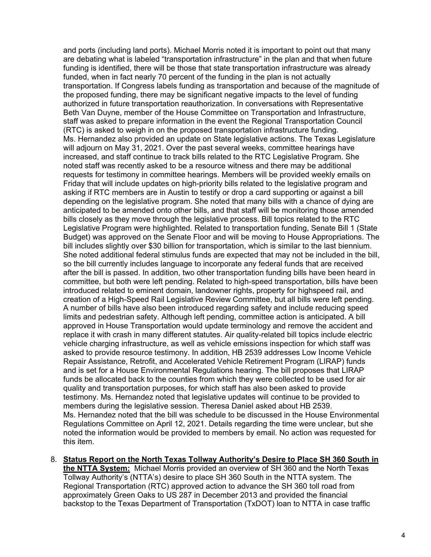and ports (including land ports). Michael Morris noted it is important to point out that many are debating what is labeled "transportation infrastructure" in the plan and that when future funding is identified, there will be those that state transportation infrastructure was already funded, when in fact nearly 70 percent of the funding in the plan is not actually transportation. If Congress labels funding as transportation and because of the magnitude of the proposed funding, there may be significant negative impacts to the level of funding authorized in future transportation reauthorization. In conversations with Representative Beth Van Duyne, member of the House Committee on Transportation and Infrastructure, staff was asked to prepare information in the event the Regional Transportation Council (RTC) is asked to weigh in on the proposed transportation infrastructure funding. Ms. Hernandez also provided an update on State legislative actions. The Texas Legislature will adjourn on May 31, 2021. Over the past several weeks, committee hearings have increased, and staff continue to track bills related to the RTC Legislative Program. She noted staff was recently asked to be a resource witness and there may be additional requests for testimony in committee hearings. Members will be provided weekly emails on Friday that will include updates on high-priority bills related to the legislative program and asking if RTC members are in Austin to testify or drop a card supporting or against a bill depending on the legislative program. She noted that many bills with a chance of dying are anticipated to be amended onto other bills, and that staff will be monitoring those amended bills closely as they move through the legislative process. Bill topics related to the RTC Legislative Program were highlighted. Related to transportation funding, Senate Bill 1 (State Budget) was approved on the Senate Floor and will be moving to House Appropriations. The bill includes slightly over \$30 billion for transportation, which is similar to the last biennium. She noted additional federal stimulus funds are expected that may not be included in the bill, so the bill currently includes language to incorporate any federal funds that are received after the bill is passed. In addition, two other transportation funding bills have been heard in committee, but both were left pending. Related to high-speed transportation, bills have been introduced related to eminent domain, landowner rights, property for highspeed rail, and creation of a High-Speed Rail Legislative Review Committee, but all bills were left pending. A number of bills have also been introduced regarding safety and include reducing speed limits and pedestrian safety. Although left pending, committee action is anticipated. A bill approved in House Transportation would update terminology and remove the accident and replace it with crash in many different statutes. Air quality-related bill topics include electric vehicle charging infrastructure, as well as vehicle emissions inspection for which staff was asked to provide resource testimony. In addition, HB 2539 addresses Low Income Vehicle Repair Assistance, Retrofit, and Accelerated Vehicle Retirement Program (LIRAP) funds and is set for a House Environmental Regulations hearing. The bill proposes that LIRAP funds be allocated back to the counties from which they were collected to be used for air quality and transportation purposes, for which staff has also been asked to provide testimony. Ms. Hernandez noted that legislative updates will continue to be provided to members during the legislative session. Theresa Daniel asked about HB 2539. Ms. Hernandez noted that the bill was schedule to be discussed in the House Environmental Regulations Committee on April 12, 2021. Details regarding the time were unclear, but she noted the information would be provided to members by email. No action was requested for this item.

8. **Status Report on the North Texas Tollway Authority's Desire to Place SH 360 South in the NTTA System:** Michael Morris provided an overview of SH 360 and the North Texas Tollway Authority's (NTTA's) desire to place SH 360 South in the NTTA system. The Regional Transportation (RTC) approved action to advance the SH 360 toll road from approximately Green Oaks to US 287 in December 2013 and provided the financial backstop to the Texas Department of Transportation (TxDOT) loan to NTTA in case traffic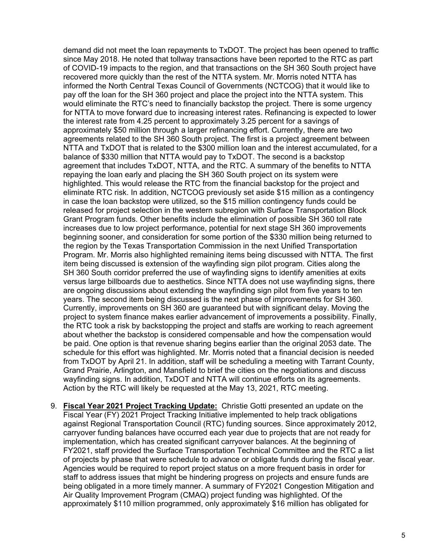demand did not meet the loan repayments to TxDOT. The project has been opened to traffic since May 2018. He noted that tollway transactions have been reported to the RTC as part of COVID-19 impacts to the region, and that transactions on the SH 360 South project have recovered more quickly than the rest of the NTTA system. Mr. Morris noted NTTA has informed the North Central Texas Council of Governments (NCTCOG) that it would like to pay off the loan for the SH 360 project and place the project into the NTTA system. This would eliminate the RTC's need to financially backstop the project. There is some urgency for NTTA to move forward due to increasing interest rates. Refinancing is expected to lower the interest rate from 4.25 percent to approximately 3.25 percent for a savings of approximately \$50 million through a larger refinancing effort. Currently, there are two agreements related to the SH 360 South project. The first is a project agreement between NTTA and TxDOT that is related to the \$300 million loan and the interest accumulated, for a balance of \$330 million that NTTA would pay to TxDOT. The second is a backstop agreement that includes TxDOT, NTTA, and the RTC. A summary of the benefits to NTTA repaying the loan early and placing the SH 360 South project on its system were highlighted. This would release the RTC from the financial backstop for the project and eliminate RTC risk. In addition, NCTCOG previously set aside \$15 million as a contingency in case the loan backstop were utilized, so the \$15 million contingency funds could be released for project selection in the western subregion with Surface Transportation Block Grant Program funds. Other benefits include the elimination of possible SH 360 toll rate increases due to low project performance, potential for next stage SH 360 improvements beginning sooner, and consideration for some portion of the \$330 million being returned to the region by the Texas Transportation Commission in the next Unified Transportation Program. Mr. Morris also highlighted remaining items being discussed with NTTA. The first item being discussed is extension of the wayfinding sign pilot program. Cities along the SH 360 South corridor preferred the use of wayfinding signs to identify amenities at exits versus large billboards due to aesthetics. Since NTTA does not use wayfinding signs, there are ongoing discussions about extending the wayfinding sign pilot from five years to ten years. The second item being discussed is the next phase of improvements for SH 360. Currently, improvements on SH 360 are guaranteed but with significant delay. Moving the project to system finance makes earlier advancement of improvements a possibility. Finally, the RTC took a risk by backstopping the project and staffs are working to reach agreement about whether the backstop is considered compensable and how the compensation would be paid. One option is that revenue sharing begins earlier than the original 2053 date. The schedule for this effort was highlighted. Mr. Morris noted that a financial decision is needed from TxDOT by April 21. In addition, staff will be scheduling a meeting with Tarrant County, Grand Prairie, Arlington, and Mansfield to brief the cities on the negotiations and discuss wayfinding signs. In addition, TxDOT and NTTA will continue efforts on its agreements. Action by the RTC will likely be requested at the May 13, 2021, RTC meeting.

9. **Fiscal Year 2021 Project Tracking Update:** Christie Gotti presented an update on the Fiscal Year (FY) 2021 Project Tracking Initiative implemented to help track obligations against Regional Transportation Council (RTC) funding sources. Since approximately 2012, carryover funding balances have occurred each year due to projects that are not ready for implementation, which has created significant carryover balances. At the beginning of FY2021, staff provided the Surface Transportation Technical Committee and the RTC a list of projects by phase that were schedule to advance or obligate funds during the fiscal year. Agencies would be required to report project status on a more frequent basis in order for staff to address issues that might be hindering progress on projects and ensure funds are being obligated in a more timely manner. A summary of FY2021 Congestion Mitigation and Air Quality Improvement Program (CMAQ) project funding was highlighted. Of the approximately \$110 million programmed, only approximately \$16 million has obligated for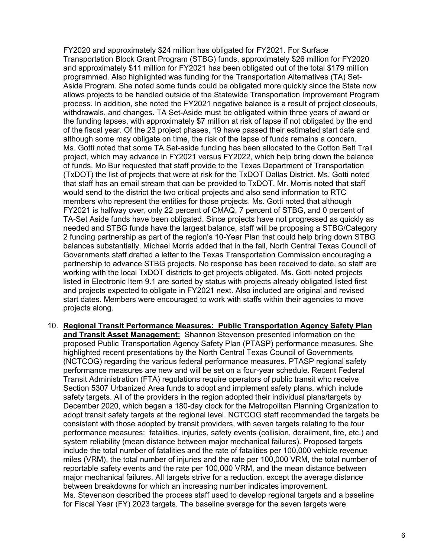FY2020 and approximately \$24 million has obligated for FY2021. For Surface Transportation Block Grant Program (STBG) funds, approximately \$26 million for FY2020 and approximately \$11 million for FY2021 has been obligated out of the total \$179 million programmed. Also highlighted was funding for the Transportation Alternatives (TA) Set-Aside Program. She noted some funds could be obligated more quickly since the State now allows projects to be handled outside of the Statewide Transportation Improvement Program process. In addition, she noted the FY2021 negative balance is a result of project closeouts, withdrawals, and changes. TA Set-Aside must be obligated within three years of award or the funding lapses, with approximately \$7 million at risk of lapse if not obligated by the end of the fiscal year. Of the 23 project phases, 19 have passed their estimated start date and although some may obligate on time, the risk of the lapse of funds remains a concern. Ms. Gotti noted that some TA Set-aside funding has been allocated to the Cotton Belt Trail project, which may advance in FY2021 versus FY2022, which help bring down the balance of funds. Mo Bur requested that staff provide to the Texas Department of Transportation (TxDOT) the list of projects that were at risk for the TxDOT Dallas District. Ms. Gotti noted that staff has an email stream that can be provided to TxDOT. Mr. Morris noted that staff would send to the district the two critical projects and also send information to RTC members who represent the entities for those projects. Ms. Gotti noted that although FY2021 is halfway over, only 22 percent of CMAQ, 7 percent of STBG, and 0 percent of TA-Set Aside funds have been obligated. Since projects have not progressed as quickly as needed and STBG funds have the largest balance, staff will be proposing a STBG/Category 2 funding partnership as part of the region's 10-Year Plan that could help bring down STBG balances substantially. Michael Morris added that in the fall, North Central Texas Council of Governments staff drafted a letter to the Texas Transportation Commission encouraging a partnership to advance STBG projects. No response has been received to date, so staff are working with the local TxDOT districts to get projects obligated. Ms. Gotti noted projects listed in Electronic Item 9.1 are sorted by status with projects already obligated listed first and projects expected to obligate in FY2021 next. Also included are original and revised start dates. Members were encouraged to work with staffs within their agencies to move projects along.

10. **Regional Transit Performance Measures: Public Transportation Agency Safety Plan and Transit Asset Management:** Shannon Stevenson presented information on the proposed Public Transportation Agency Safety Plan (PTASP) performance measures. She highlighted recent presentations by the North Central Texas Council of Governments (NCTCOG) regarding the various federal performance measures. PTASP regional safety performance measures are new and will be set on a four-year schedule. Recent Federal Transit Administration (FTA) regulations require operators of public transit who receive Section 5307 Urbanized Area funds to adopt and implement safety plans, which include safety targets. All of the providers in the region adopted their individual plans/targets by December 2020, which began a 180-day clock for the Metropolitan Planning Organization to adopt transit safety targets at the regional level. NCTCOG staff recommended the targets be consistent with those adopted by transit providers, with seven targets relating to the four performance measures: fatalities, injuries, safety events (collision, derailment, fire, etc.) and system reliability (mean distance between major mechanical failures). Proposed targets include the total number of fatalities and the rate of fatalities per 100,000 vehicle revenue miles (VRM), the total number of injuries and the rate per 100,000 VRM, the total number of reportable safety events and the rate per 100,000 VRM, and the mean distance between major mechanical failures. All targets strive for a reduction, except the average distance between breakdowns for which an increasing number indicates improvement. Ms. Stevenson described the process staff used to develop regional targets and a baseline for Fiscal Year (FY) 2023 targets. The baseline average for the seven targets were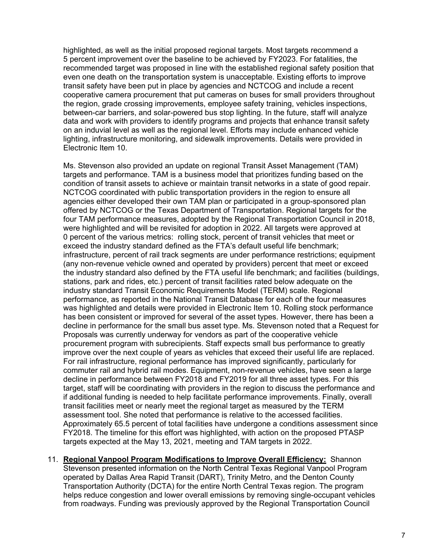highlighted, as well as the initial proposed regional targets. Most targets recommend a 5 percent improvement over the baseline to be achieved by FY2023. For fatalities, the recommended target was proposed in line with the established regional safety position that even one death on the transportation system is unacceptable. Existing efforts to improve transit safety have been put in place by agencies and NCTCOG and include a recent cooperative camera procurement that put cameras on buses for small providers throughout the region, grade crossing improvements, employee safety training, vehicles inspections, between-car barriers, and solar-powered bus stop lighting. In the future, staff will analyze data and work with providers to identify programs and projects that enhance transit safety on an induvial level as well as the regional level. Efforts may include enhanced vehicle lighting, infrastructure monitoring, and sidewalk improvements. Details were provided in Electronic Item 10.

Ms. Stevenson also provided an update on regional Transit Asset Management (TAM) targets and performance. TAM is a business model that prioritizes funding based on the condition of transit assets to achieve or maintain transit networks in a state of good repair. NCTCOG coordinated with public transportation providers in the region to ensure all agencies either developed their own TAM plan or participated in a group-sponsored plan offered by NCTCOG or the Texas Department of Transportation. Regional targets for the four TAM performance measures, adopted by the Regional Transportation Council in 2018, were highlighted and will be revisited for adoption in 2022. All targets were approved at 0 percent of the various metrics: rolling stock, percent of transit vehicles that meet or exceed the industry standard defined as the FTA's default useful life benchmark; infrastructure, percent of rail track segments are under performance restrictions; equipment (any non-revenue vehicle owned and operated by providers) percent that meet or exceed the industry standard also defined by the FTA useful life benchmark; and facilities (buildings, stations, park and rides, etc.) percent of transit facilities rated below adequate on the industry standard Transit Economic Requirements Model (TERM) scale. Regional performance, as reported in the National Transit Database for each of the four measures was highlighted and details were provided in Electronic Item 10. Rolling stock performance has been consistent or improved for several of the asset types. However, there has been a decline in performance for the small bus asset type. Ms. Stevenson noted that a Request for Proposals was currently underway for vendors as part of the cooperative vehicle procurement program with subrecipients. Staff expects small bus performance to greatly improve over the next couple of years as vehicles that exceed their useful life are replaced. For rail infrastructure, regional performance has improved significantly, particularly for commuter rail and hybrid rail modes. Equipment, non-revenue vehicles, have seen a large decline in performance between FY2018 and FY2019 for all three asset types. For this target, staff will be coordinating with providers in the region to discuss the performance and if additional funding is needed to help facilitate performance improvements. Finally, overall transit facilities meet or nearly meet the regional target as measured by the TERM assessment tool. She noted that performance is relative to the accessed facilities. Approximately 65.5 percent of total facilities have undergone a conditions assessment since FY2018. The timeline for this effort was highlighted, with action on the proposed PTASP targets expected at the May 13, 2021, meeting and TAM targets in 2022.

11. **Regional Vanpool Program Modifications to Improve Overall Efficiency:** Shannon Stevenson presented information on the North Central Texas Regional Vanpool Program operated by Dallas Area Rapid Transit (DART), Trinity Metro, and the Denton County Transportation Authority (DCTA) for the entire North Central Texas region. The program helps reduce congestion and lower overall emissions by removing single-occupant vehicles from roadways. Funding was previously approved by the Regional Transportation Council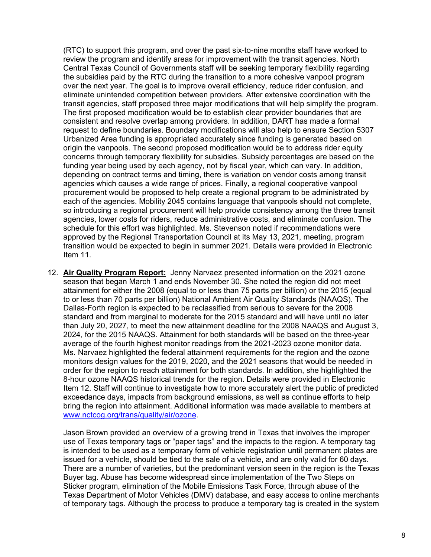(RTC) to support this program, and over the past six-to-nine months staff have worked to review the program and identify areas for improvement with the transit agencies. North Central Texas Council of Governments staff will be seeking temporary flexibility regarding the subsidies paid by the RTC during the transition to a more cohesive vanpool program over the next year. The goal is to improve overall efficiency, reduce rider confusion, and eliminate unintended competition between providers. After extensive coordination with the transit agencies, staff proposed three major modifications that will help simplify the program. The first proposed modification would be to establish clear provider boundaries that are consistent and resolve overlap among providers. In addition, DART has made a formal request to define boundaries. Boundary modifications will also help to ensure Section 5307 Urbanized Area funding is appropriated accurately since funding is generated based on origin the vanpools. The second proposed modification would be to address rider equity concerns through temporary flexibility for subsidies. Subsidy percentages are based on the funding year being used by each agency, not by fiscal year, which can vary. In addition, depending on contract terms and timing, there is variation on vendor costs among transit agencies which causes a wide range of prices. Finally, a regional cooperative vanpool procurement would be proposed to help create a regional program to be administrated by each of the agencies. Mobility 2045 contains language that vanpools should not complete, so introducing a regional procurement will help provide consistency among the three transit agencies, lower costs for riders, reduce administrative costs, and eliminate confusion. The schedule for this effort was highlighted. Ms. Stevenson noted if recommendations were approved by the Regional Transportation Council at its May 13, 2021, meeting, program transition would be expected to begin in summer 2021. Details were provided in Electronic Item 11.

12. **Air Quality Program Report:** Jenny Narvaez presented information on the 2021 ozone season that began March 1 and ends November 30. She noted the region did not meet attainment for either the 2008 (equal to or less than 75 parts per billion) or the 2015 (equal to or less than 70 parts per billion) National Ambient Air Quality Standards (NAAQS). The Dallas-Forth region is expected to be reclassified from serious to severe for the 2008 standard and from marginal to moderate for the 2015 standard and will have until no later than July 20, 2027, to meet the new attainment deadline for the 2008 NAAQS and August 3, 2024, for the 2015 NAAQS. Attainment for both standards will be based on the three-year average of the fourth highest monitor readings from the 2021-2023 ozone monitor data. Ms. Narvaez highlighted the federal attainment requirements for the region and the ozone monitors design values for the 2019, 2020, and the 2021 seasons that would be needed in order for the region to reach attainment for both standards. In addition, she highlighted the 8-hour ozone NAAQS historical trends for the region. Details were provided in Electronic Item 12. Staff will continue to investigate how to more accurately alert the public of predicted exceedance days, impacts from background emissions, as well as continue efforts to help bring the region into attainment. Additional information was made available to members at [www.nctcog.org/trans/quality/air/ozone.](http://www.nctcog.org/trans/quality/air/ozone)

Jason Brown provided an overview of a growing trend in Texas that involves the improper use of Texas temporary tags or "paper tags" and the impacts to the region. A temporary tag is intended to be used as a temporary form of vehicle registration until permanent plates are issued for a vehicle, should be tied to the sale of a vehicle, and are only valid for 60 days. There are a number of varieties, but the predominant version seen in the region is the Texas Buyer tag. Abuse has become widespread since implementation of the Two Steps on Sticker program, elimination of the Mobile Emissions Task Force, through abuse of the Texas Department of Motor Vehicles (DMV) database, and easy access to online merchants of temporary tags. Although the process to produce a temporary tag is created in the system